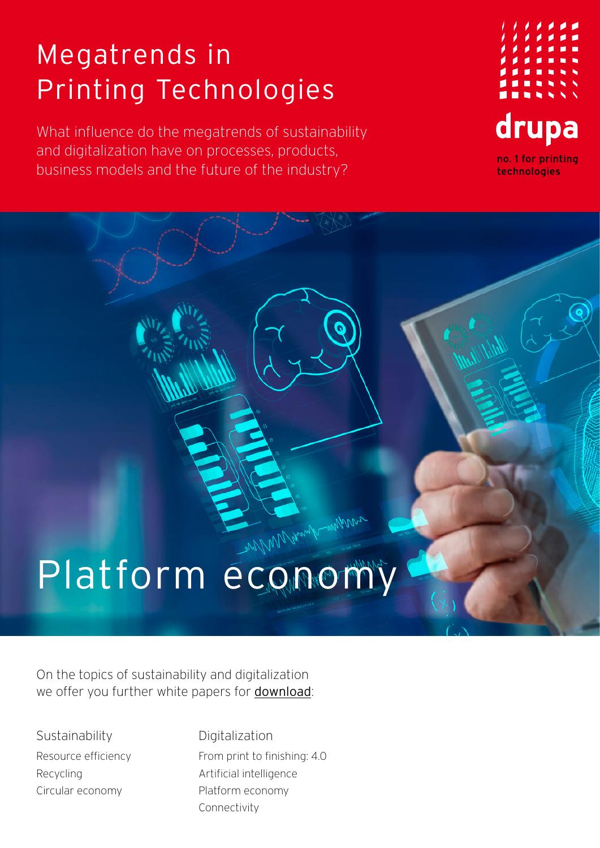## Megatrends in Printing Technologies

What influence do the megatrends of sustainability and digitalization have on processes, products, business models and the future of the industry?



## Platform economy

On the topics of sustainability and digitalization we offer you further white papers for [download](https://www.drupa.com/drupa_maintopics_EN):

**Sustainability** Resource efficiency Recycling Circular economy

Digitalization From print to finishing: 4.0 Artificial intelligence Platform economy Connectivity